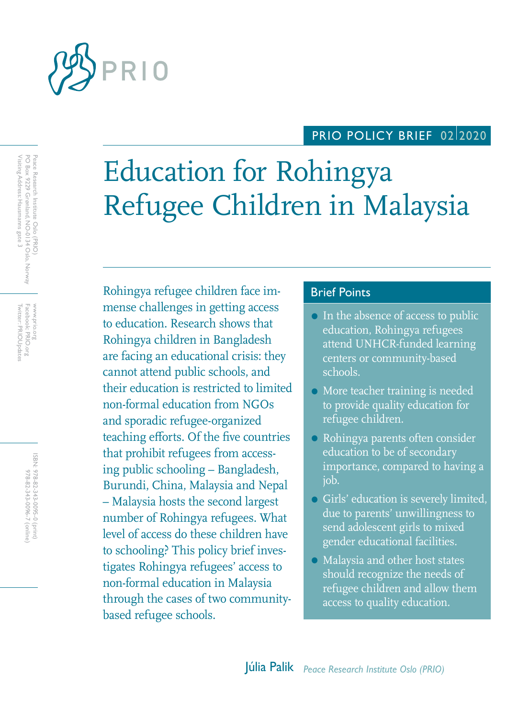

# PRIO POLICY BRIEF 02/2020

# Education for Rohingya Refugee Children in Malaysia

Rohingya refugee children face im-<br>Brief Points mense challenges in getting access to education. Research shows that Rohingya children in Bangladesh are facing an educational crisis: they cannot attend public schools, and their education is restricted to limited non-formal education from NGOs and sporadic refugee-organized teaching efforts. Of the five countries that prohibit refugees from accessing public schooling – Bangladesh, Burundi, China, Malaysia and Nepal – Malaysia hosts the second largest number of Rohingya refugees. What level of access do these children have to schooling? This policy brief investigates Rohingya refugees' access to non-formal education in Malaysia through the cases of two communitybased refugee schools.

- In the absence of access to public education, Rohingya refugees attend UNHCR-funded learning centers or community-based schools.
- More teacher training is needed to provide quality education for refugee children.
- Rohingya parents often consider education to be of secondary importance, compared to having a job.
- Girls' education is severely limited, due to parents' unwillingness to send adolescent girls to mixed gender educational facilities.
- Malaysia and other host states should recognize the needs of refugee children and allow them access to quality education.

Peace Research Institute Oslo (PRIO)<br>PO Box 9229 Grønland, NO-0134 Oslo, Norway<br>Visiting Address: Hausmanns gate 3 PO Box 9229 Grønland, NO-0134 Oslo, Norway Twitter: PRIOUpdates Facebook: PRIO.org Twitter: PRIOUpdates Facebook: PRIO.org www.prio.org www.prio.org

Visiting Address: Hausmanns gate 3

Peace Research Institute Oslo (PRIO)

ISBN: 978-82-343-0095-0 (print) 978-82-343-0096-7 (online) 978-82-343-0096-7 (online) 978-82-343-0095-0 (print)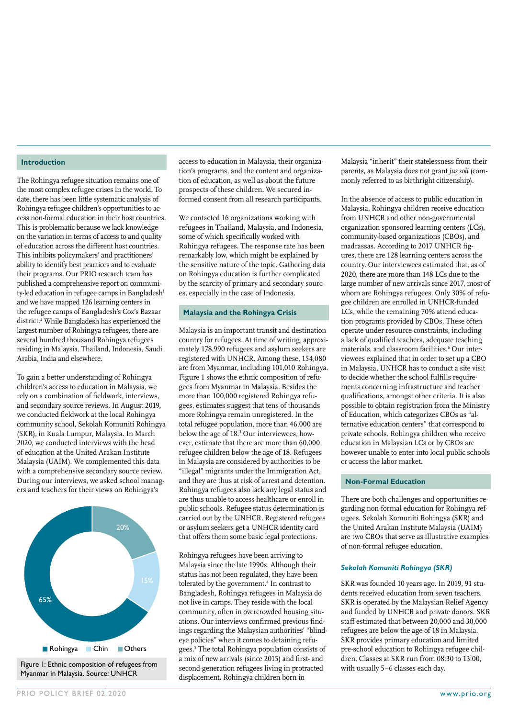#### **Introduction**

The Rohingya refugee situation remains one of the most complex refugee crises in the world. To date, there has been little systematic analysis of Rohingya refugee children's opportunities to access non-formal education in their host countries. This is problematic because we lack knowledge on the variation in terms of access to and quality of education across the different host countries. This inhibits policymakers' and practitioners' ability to identify best practices and to evaluate their programs. Our PRIO research team has published a comprehensive report on community-led education in refugee camps in Bangladesh<sup>1</sup> and we have mapped 126 learning centers in the refugee camps of Bangladesh's Cox's Bazaar district.<sup>2</sup> While Bangladesh has experienced the largest number of Rohingya refugees, there are several hundred thousand Rohingya refugees residing in Malaysia, Thailand, Indonesia, Saudi Arabia, India and elsewhere.

To gain a better understanding of Rohingya children's access to education in Malaysia, we rely on a combination of fieldwork, interviews, and secondary source reviews. In August 2019, we conducted fieldwork at the local Rohingya community school, Sekolah Komuniti Rohingya (SKR), in Kuala Lumpur, Malaysia. In March 2020, we conducted interviews with the head of education at the United Arakan Institute Malaysia (UAIM). We complemented this data with a comprehensive secondary source review. During our interviews, we asked school managers and teachers for their views on Rohingya's



Myanmar in Malaysia. Source: UNHCR

access to education in Malaysia, their organization's programs, and the content and organization of education, as well as about the future prospects of these children. We secured informed consent from all research participants.

We contacted 16 organizations working with refugees in Thailand, Malaysia, and Indonesia, some of which specifically worked with Rohingya refugees. The response rate has been remarkably low, which might be explained by the sensitive nature of the topic. Gathering data on Rohingya education is further complicated by the scarcity of primary and secondary sources, especially in the case of Indonesia.

### **Malaysia and the Rohingya Crisis**

Malaysia is an important transit and destination country for refugees. At time of writing, approximately 178,990 refugees and asylum seekers are registered with UNHCR. Among these, 154,080 are from Myanmar, including 101,010 Rohingya. Figure 1 shows the ethnic composition of refugees from Myanmar in Malaysia. Besides the more than 100,000 registered Rohingya refugees, estimates suggest that tens of thousands more Rohingya remain unregistered. In the total refugee population, more than 46,000 are below the age of 18.3 Our interviewees, however, estimate that there are more than 60,000 refugee children below the age of 18. Refugees in Malaysia are considered by authorities to be "illegal" migrants under the Immigration Act, and they are thus at risk of arrest and detention. Rohingya refugees also lack any legal status and are thus unable to access healthcare or enroll in public schools. Refugee status determination is carried out by the UNHCR. Registered refugees or asylum seekers get a UNHCR identity card that offers them some basic legal protections.

Rohingya refugees have been arriving to Malaysia since the late 1990s. Although their status has not been regulated, they have been tolerated by the government.<sup>4</sup> In contrast to Bangladesh, Rohingya refugees in Malaysia do not live in camps. They reside with the local community, often in overcrowded housing situations. Our interviews confirmed previous findings regarding the Malaysian authorities' "blindeye policies" when it comes to detaining refugees.5 The total Rohingya population consists of a mix of new arrivals (since 2015) and first- and Figure 1: Ethnic composition of refugees from the commode proton account of the second-generation refugees living in protracted with usually 5–6 classes each day. displacement. Rohingya children born in

Malaysia "inherit" their statelessness from their parents, as Malaysia does not grant *jus soli* (commonly referred to as birthright citizenship).

In the absence of access to public education in Malaysia, Rohingya children receive education from UNHCR and other non-governmental organization sponsored learning centers (LCs), community-based organizations (CBOs), and madrassas. According to 2017 UNHCR figures, there are 128 learning centers across the country. Our interviewees estimated that, as of 2020, there are more than 148 LCs due to the large number of new arrivals since 2017, most of whom are Rohingya refugees. Only 30% of refugee children are enrolled in UNHCR-funded LCs, while the remaining 70% attend education programs provided by CBOs. These often operate under resource constraints, including a lack of qualified teachers, adequate teaching materials, and classroom facilities.<sup>6</sup> Our interviewees explained that in order to set up a CBO in Malaysia, UNHCR has to conduct a site visit to decide whether the school fulfills requirements concerning infrastructure and teacher qualifications, amongst other criteria. It is also possible to obtain registration from the Ministry of Education, which categorizes CBOs as "alternative education centers" that correspond to private schools. Rohingya children who receive education in Malaysian LCs or by CBOs are however unable to enter into local public schools or access the labor market.

#### **Non-Formal Education**

There are both challenges and opportunities regarding non-formal education for Rohingya refugees. Sekolah Komuniti Rohingya (SKR) and the United Arakan Institute Malaysia (UAIM) are two CBOs that serve as illustrative examples of non-formal refugee education.

#### *Sekolah Komuniti Rohingya (SKR)*

SKR was founded 10 years ago. In 2019, 91 students received education from seven teachers. SKR is operated by the Malaysian Relief Agency and funded by UNHCR and private donors. SKR staff estimated that between 20,000 and 30,000 refugees are below the age of 18 in Malaysia. SKR provides primary education and limited pre-school education to Rohingya refugee children. Classes at SKR run from 08:30 to 13:00,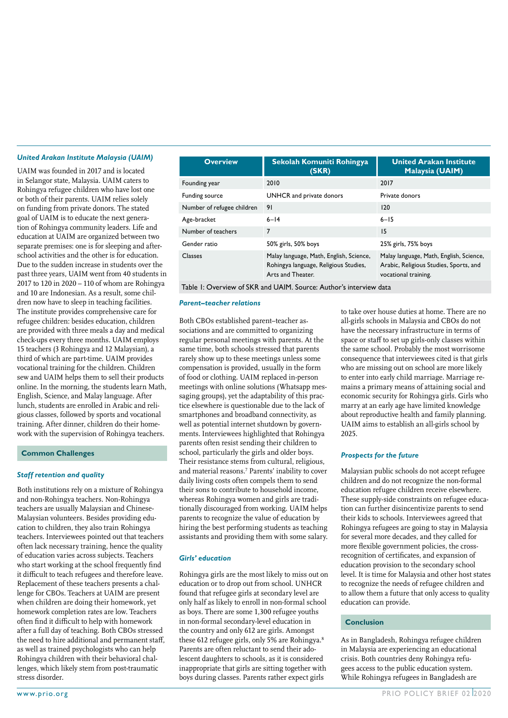#### *United Arakan Institute Malaysia (UAIM)*

UAIM was founded in 2017 and is located in Selangor state, Malaysia. UAIM caters to Rohingya refugee children who have lost one or both of their parents. UAIM relies solely on funding from private donors. The stated goal of UAIM is to educate the next generation of Rohingya community leaders. Life and education at UAIM are organized between two separate premises: one is for sleeping and afterschool activities and the other is for education. Due to the sudden increase in students over the past three years, UAIM went from 40 students in 2017 to 120 in 2020 – 110 of whom are Rohingya and 10 are Indonesian. As a result, some children now have to sleep in teaching facilities. The institute provides comprehensive care for refugee children: besides education, children are provided with three meals a day and medical check-ups every three months. UAIM employs 15 teachers (3 Rohingya and 12 Malaysian), a third of which are part-time. UAIM provides vocational training for the children. Children sew and UAIM helps them to sell their products online. In the morning, the students learn Math, English, Science, and Malay language. After lunch, students are enrolled in Arabic and religious classes, followed by sports and vocational training. After dinner, children do their homework with the supervision of Rohingya teachers.

#### **Common Challenges**

#### *Staff retention and quality*

Both institutions rely on a mixture of Rohingya and non-Rohingya teachers. Non-Rohingya teachers are usually Malaysian and Chinese-Malaysian volunteers. Besides providing education to children, they also train Rohingya teachers. Interviewees pointed out that teachers often lack necessary training, hence the quality of education varies across subjects. Teachers who start working at the school frequently find it difficult to teach refugees and therefore leave. Replacement of these teachers presents a challenge for CBOs. Teachers at UAIM are present when children are doing their homework, yet homework completion rates are low. Teachers often find it difficult to help with homework after a full day of teaching. Both CBOs stressed the need to hire additional and permanent staff, as well as trained psychologists who can help Rohingya children with their behavioral challenges, which likely stem from post-traumatic stress disorder.

| <b>Overview</b>            | Sekolah Komuniti Rohingya<br>(SKR)                                                                    | <b>United Arakan Institute</b><br><b>Malaysia (UAIM)</b>                                                  |
|----------------------------|-------------------------------------------------------------------------------------------------------|-----------------------------------------------------------------------------------------------------------|
| Founding year              | 2010                                                                                                  | 2017                                                                                                      |
| Funding source             | UNHCR and private donors                                                                              | Private donors                                                                                            |
| Number of refugee children | 91                                                                                                    | 120                                                                                                       |
| Age-bracket                | $6 - 14$                                                                                              | $6 - 15$                                                                                                  |
| Number of teachers         | $\overline{7}$                                                                                        | 15                                                                                                        |
| Gender ratio               | 50% girls, 50% boys                                                                                   | 25% girls, 75% boys                                                                                       |
| <b>Classes</b>             | Malay language, Math, English, Science,<br>Rohingya language, Religious Studies,<br>Arts and Theater. | Malay language, Math, English, Science,<br>Arabic, Religious Studies, Sports, and<br>vocational training. |

Table 1: Overview of SKR and UAIM. Source: Author's interview data

#### *Parent–teacher relations*

Both CBOs established parent–teacher associations and are committed to organizing regular personal meetings with parents. At the same time, both schools stressed that parents rarely show up to these meetings unless some compensation is provided, usually in the form of food or clothing. UAIM replaced in-person meetings with online solutions (Whatsapp messaging groups), yet the adaptability of this practice elsewhere is questionable due to the lack of smartphones and broadband connectivity, as well as potential internet shutdown by governments. Interviewees highlighted that Rohingya parents often resist sending their children to school, particularly the girls and older boys. Their resistance stems from cultural, religious, and material reasons.7 Parents' inability to cover daily living costs often compels them to send their sons to contribute to household income, whereas Rohingya women and girls are traditionally discouraged from working. UAIM helps parents to recognize the value of education by hiring the best performing students as teaching assistants and providing them with some salary.

#### *Girls' education*

Rohingya girls are the most likely to miss out on education or to drop out from school. UNHCR found that refugee girls at secondary level are only half as likely to enroll in non-formal school as boys. There are some 1,300 refugee youths in non-formal secondary-level education in the country and only 612 are girls. Amongst these 612 refugee girls, only 5% are Rohingya.<sup>8</sup> Parents are often reluctant to send their adolescent daughters to schools, as it is considered inappropriate that girls are sitting together with boys during classes. Parents rather expect girls

to take over house duties at home. There are no all-girls schools in Malaysia and CBOs do not have the necessary infrastructure in terms of space or staff to set up girls-only classes within the same school. Probably the most worrisome consequence that interviewees cited is that girls who are missing out on school are more likely to enter into early child marriage. Marriage remains a primary means of attaining social and economic security for Rohingya girls. Girls who marry at an early age have limited knowledge about reproductive health and family planning. UAIM aims to establish an all-girls school by 2025.

### *Prospects for the future*

Malaysian public schools do not accept refugee children and do not recognize the non-formal education refugee children receive elsewhere. These supply-side constraints on refugee education can further disincentivize parents to send their kids to schools. Interviewees agreed that Rohingya refugees are going to stay in Malaysia for several more decades, and they called for more flexible government policies, the crossrecognition of certificates, and expansion of education provision to the secondary school level. It is time for Malaysia and other host states to recognize the needs of refugee children and to allow them a future that only access to quality education can provide.

#### **Conclusion**

As in Bangladesh, Rohingya refugee children in Malaysia are experiencing an educational crisis. Both countries deny Rohingya refugees access to the public education system. While Rohingya refugees in Bangladesh are